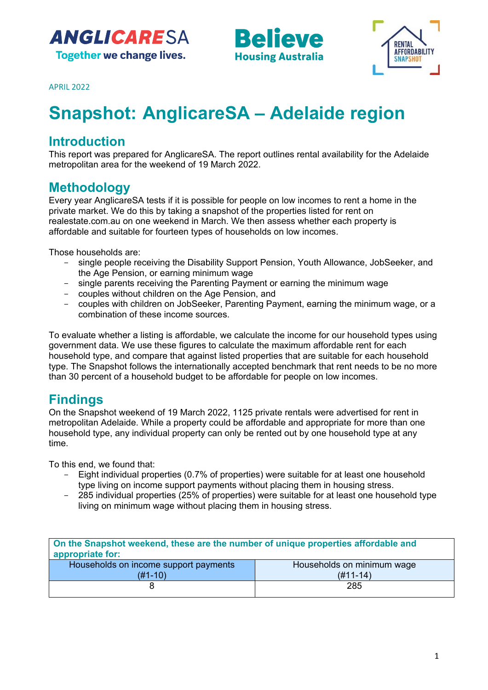





APRIL 2022

# **Snapshot: AnglicareSA – Adelaide region**

# **Introduction**

This report was prepared for AnglicareSA. The report outlines rental availability for the Adelaide metropolitan area for the weekend of 19 March 2022.

## **Methodology**

Every year AnglicareSA tests if it is possible for people on low incomes to rent a home in the private market. We do this by taking a snapshot of the properties listed for rent on realestate.com.au on one weekend in March. We then assess whether each property is affordable and suitable for fourteen types of households on low incomes.

Those households are:

- single people receiving the Disability Support Pension, Youth Allowance, JobSeeker, and the Age Pension, or earning minimum wage
- single parents receiving the Parenting Payment or earning the minimum wage
- couples without children on the Age Pension, and
- couples with children on JobSeeker, Parenting Payment, earning the minimum wage, or a combination of these income sources.

To evaluate whether a listing is affordable, we calculate the income for our household types using government data. We use these figures to calculate the maximum affordable rent for each household type, and compare that against listed properties that are suitable for each household type. The Snapshot follows the internationally accepted benchmark that rent needs to be no more than 30 percent of a household budget to be affordable for people on low incomes.

# **Findings**

On the Snapshot weekend of 19 March 2022, 1125 private rentals were advertised for rent in metropolitan Adelaide. While a property could be affordable and appropriate for more than one household type, any individual property can only be rented out by one household type at any time.

To this end, we found that:

- Eight individual properties (0.7% of properties) were suitable for at least one household type living on income support payments without placing them in housing stress.
- 285 individual properties (25% of properties) were suitable for at least one household type living on minimum wage without placing them in housing stress.

| On the Snapshot weekend, these are the number of unique properties affordable and<br>appropriate for: |                            |  |  |  |
|-------------------------------------------------------------------------------------------------------|----------------------------|--|--|--|
| Households on income support payments                                                                 | Households on minimum wage |  |  |  |
| $(H1-10)$                                                                                             | $(H11-14)$                 |  |  |  |
|                                                                                                       | 285                        |  |  |  |
|                                                                                                       |                            |  |  |  |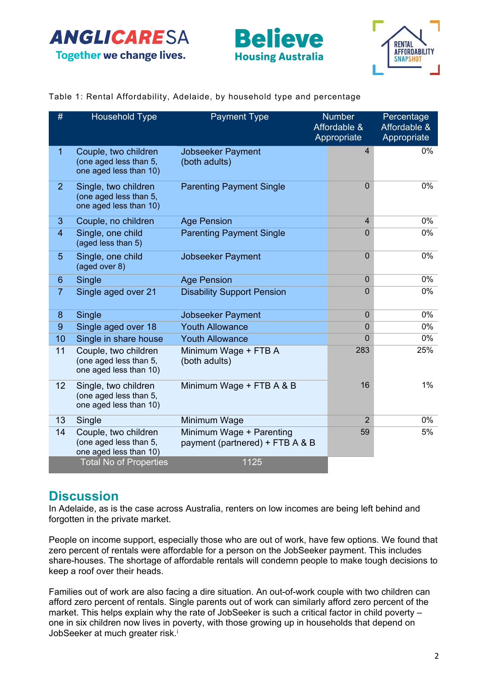





### Table 1: Rental Affordability, Adelaide, by household type and percentage

| #              | <b>Household Type</b>                                                    | <b>Payment Type</b>                                         | <b>Number</b><br>Affordable &<br>Appropriate | Percentage<br>Affordable &<br>Appropriate |
|----------------|--------------------------------------------------------------------------|-------------------------------------------------------------|----------------------------------------------|-------------------------------------------|
| $\overline{1}$ | Couple, two children<br>(one aged less than 5,<br>one aged less than 10) | <b>Jobseeker Payment</b><br>(both adults)                   | $\overline{4}$                               | 0%                                        |
| $\overline{2}$ | Single, two children<br>(one aged less than 5,<br>one aged less than 10) | <b>Parenting Payment Single</b>                             | 0                                            | $0\%$                                     |
| 3              | Couple, no children                                                      | <b>Age Pension</b>                                          | $\overline{4}$                               | 0%                                        |
| $\overline{4}$ | Single, one child<br>(aged less than 5)                                  | <b>Parenting Payment Single</b>                             | $\Omega$                                     | 0%                                        |
| 5              | Single, one child<br>(aged over 8)                                       | <b>Jobseeker Payment</b>                                    | $\overline{0}$                               | 0%                                        |
| 6              | Single                                                                   | <b>Age Pension</b>                                          | $\mathbf{0}$                                 | 0%                                        |
| $\overline{7}$ | Single aged over 21                                                      | <b>Disability Support Pension</b>                           | $\Omega$                                     | 0%                                        |
| 8              | Single                                                                   | Jobseeker Payment                                           | $\Omega$                                     | 0%                                        |
| 9              | Single aged over 18                                                      | <b>Youth Allowance</b>                                      | $\overline{0}$                               | 0%                                        |
| 10             | Single in share house                                                    | <b>Youth Allowance</b>                                      | 0                                            | 0%                                        |
| 11             | Couple, two children<br>(one aged less than 5,<br>one aged less than 10) | Minimum Wage + FTB A<br>(both adults)                       | 283                                          | 25%                                       |
| 12             | Single, two children<br>(one aged less than 5,<br>one aged less than 10) | Minimum Wage + FTB A & B                                    | 16                                           | $1\%$                                     |
| 13             | Single                                                                   | Minimum Wage                                                | $\overline{2}$                               | 0%                                        |
| 14             | Couple, two children<br>(one aged less than 5,<br>one aged less than 10) | Minimum Wage + Parenting<br>payment (partnered) + FTB A & B | 59                                           | 5%                                        |
|                | <b>Total No of Properties</b>                                            | 1125                                                        |                                              |                                           |

### **Discussion**

In Adelaide, as is the case across Australia, renters on low incomes are being left behind and forgotten in the private market.

People on income support, especially those who are out of work, have few options. We found that zero percent of rentals were affordable for a person on the JobSeeker payment. This includes share-houses. The shortage of affordable rentals will condemn people to make tough decisions to keep a roof over their heads.

Families out of work are also facing a dire situation. An out-of-work couple with two children can afford zero percent of rentals. Single parents out of work can similarly afford zero percent of the market. This helps explain why the rate of JobSeeker is such a critical factor in child poverty – one in six children now lives in poverty, with those growing up in households that depend on JobSeeker at much greater r[i](#page-3-0)sk.<sup>i</sup>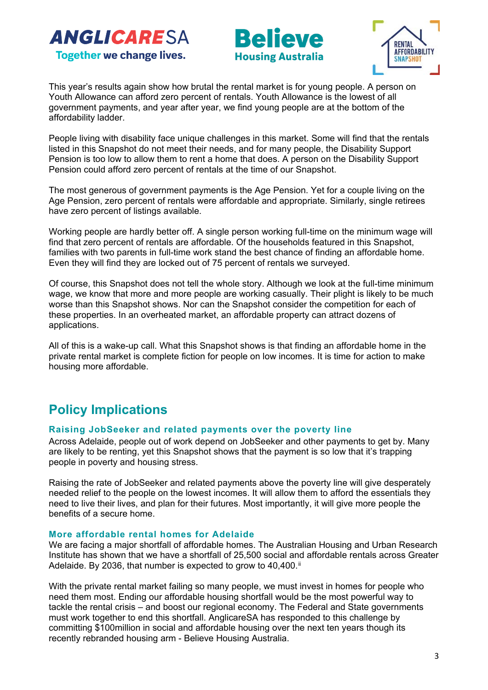





This year's results again show how brutal the rental market is for young people. A person on Youth Allowance can afford zero percent of rentals. Youth Allowance is the lowest of all government payments, and year after year, we find young people are at the bottom of the affordability ladder.

People living with disability face unique challenges in this market. Some will find that the rentals listed in this Snapshot do not meet their needs, and for many people, the Disability Support Pension is too low to allow them to rent a home that does. A person on the Disability Support Pension could afford zero percent of rentals at the time of our Snapshot.

The most generous of government payments is the Age Pension. Yet for a couple living on the Age Pension, zero percent of rentals were affordable and appropriate. Similarly, single retirees have zero percent of listings available.

Working people are hardly better off. A single person working full-time on the minimum wage will find that zero percent of rentals are affordable. Of the households featured in this Snapshot, families with two parents in full-time work stand the best chance of finding an affordable home. Even they will find they are locked out of 75 percent of rentals we surveyed.

Of course, this Snapshot does not tell the whole story. Although we look at the full-time minimum wage, we know that more and more people are working casually. Their plight is likely to be much worse than this Snapshot shows. Nor can the Snapshot consider the competition for each of these properties. In an overheated market, an affordable property can attract dozens of applications.

All of this is a wake-up call. What this Snapshot shows is that finding an affordable home in the private rental market is complete fiction for people on low incomes. It is time for action to make housing more affordable.

# **Policy Implications**

### **Raising JobSeeker and related payments over the poverty line**

Across Adelaide, people out of work depend on JobSeeker and other payments to get by. Many are likely to be renting, yet this Snapshot shows that the payment is so low that it's trapping people in poverty and housing stress.

Raising the rate of JobSeeker and related payments above the poverty line will give desperately needed relief to the people on the lowest incomes. It will allow them to afford the essentials they need to live their lives, and plan for their futures. Most importantly, it will give more people the benefits of a secure home.

### **More affordable rental homes for Adelaide**

We are facing a major shortfall of affordable homes. The Australian Housing and Urban Research Institute has shown that we have a shortfall of 25,500 social and affordable rentals across Greater Adelaide. By 2036, that number is expected to grow to  $40,400$ .<sup>[ii](#page-3-1)</sup>

With the private rental market failing so many people, we must invest in homes for people who need them most. Ending our affordable housing shortfall would be the most powerful way to tackle the rental crisis – and boost our regional economy. The Federal and State governments must work together to end this shortfall. AnglicareSA has responded to this challenge by committing \$100million in social and affordable housing over the next ten years though its recently rebranded housing arm - Believe Housing Australia.